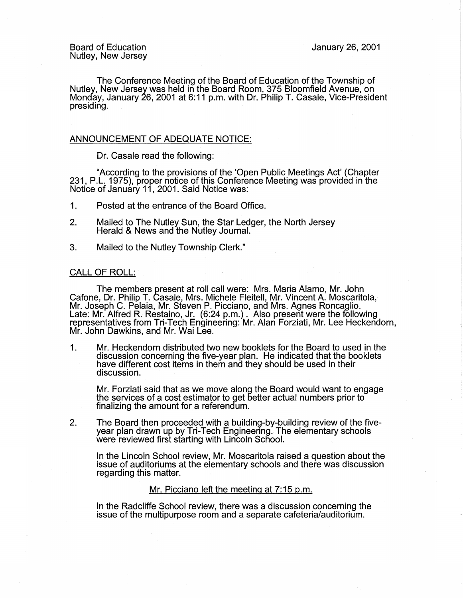The Conference Meeting of the Board of Education of the Township of Nutley, New Jersey was held in the Board Room, 375 Bloomfield Avenue, on Monday, January 26, 2001 at 6:11 p.m. with Dr. Philip T. Casale, Vice-President presiding.

# ANNOUNCEMENT OF ADEQUATE NOTICE:

Dr. Casale read the following:

"According to the provisions of the 'Open Public Meetings Act' (Chapter 231, P.L. 1975), proper notice of this Conference Meeting was provided in the Notice of January 11, 2001. Said Notice was:

- 1. Posted at the entrance of the Board Office.
- 2. Mailed to The Nutley Sun, the Star Ledger, the North Jersey Herald & News and the Nutley Journal.
- 3. Mailed to the Nutley Township Clerk."

### CALL OF ROLL:

The members present at roll call were: Mrs. Maria Alamo, Mr. John Cafone, Dr. Philip T. Casale, Mrs. Michele Fleitell, Mr. Vincent A. Moscaritola, Mr. Joseph C. Pelaia, Mr. Steven P. Picciano, and Mrs. Agnes Roncaglio. Late: Mr. Alfred R. Restaino, Jr. (6:24 p.m.). Also present were the following representatives from Tri-Tech Engineering: Mr. Alan Forziati, Mr. Lee Heckendorn, Mr. John Dawkins, and Mr. Wai Lee.

1. Mr. Heckendorn distributed two new booklets for the Board to used in the discussion concerning the five-year plan. He indicated that the booklets have different cost items in them and they should be used in their discussion.

Mr. Forziati said that as we move along the Board would want to engage the services of a cost estimator to get better actual numbers prior to finalizing the amount for a referendum.

2. The Board then proceeded with a building-by-building review of the fiveyear plan drawn up by Tri-Tech Engineering. The elementary schools were reviewed first starting with Lincoln School.

In the Lincoln School review, Mr. Moscaritola raised a question about the issue of auditoriums at the elementary schools and there was discussion regarding this matter.

### Mr. Picciano left the meeting at 7:15 p.m.

In the Radcliffe School review, there was a discussion concerning the issue of the multipurpose room and a separate cafeteria/auditorium.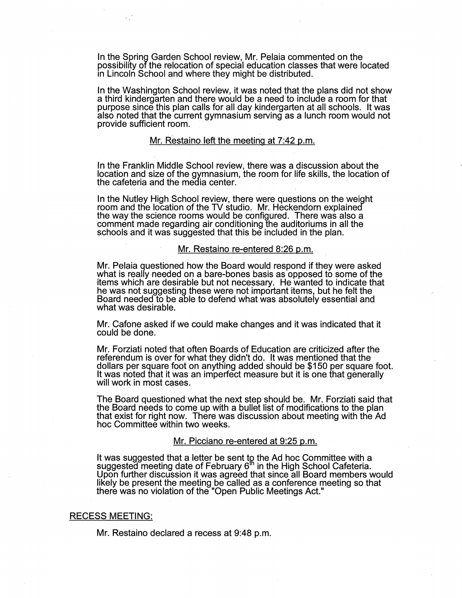In the Spring Garden School review, Mr. Pelaia commented on the possibility of the relocation of special education classes that were located in Lincoln School and where they might be distributed.

In the Washington School review, it was noted that the plans did not show a third kindergarten and there would be a need to include a room for that purpose since this plan calls for all day kindergarten at all schools. It was also noted that the current gymnasium serving as a lunch room would not provide sufficient room.

#### Mr. Restaino left the meeting at 7:42 p.m.

In the Franklin Middle School review, there was a discussion about the location and size of the gymnasium, the room for life skills, the location of the cafeteria and the media center.

In the Nutley High School review, there were questions on the weight room and the location of the TV studio. Mr. Heckendorn explained the way the science rooms would be configured. There was also a comment made regarding air conditioning the auditoriums in all the schools and it was suggested that this be included in the plan.

#### Mr. Restaino re-entered 8:26 p.m.

Mr. Pelaia questioned how the Board would respond if they were asked what is really needed on a bare-bones basis as opposed to some of the items which are desirable but not necessary. He wanted to indicate that he was not suggesting these were not important items, but he felt the Board needed to be able to defend what was absolutely essential and what was desirable.

Mr. Catone asked if we could make changes and it was indicated that it could be done.

Mr. Forziati noted that often Boards of Education are criticized after the referendum is over for what they didn't do. It was mentioned that the dollars per square foot on anything added should be \$150 per square foot. It was noted that it was an imperfect measure but it is one that generally will work in most cases.

The Board questioned what the next step should be. Mr. Forziati said that the Board needs to come up with a bullet list of modifications to the plan that exist for right now. There was discussion about meeting with the Ad hoc Committee within two weeks.

### Mr. Picciano re-entered at 9:25 p.m.

It was suggested that a letter be sent toֲ the Ad hoc Committee with a suggested meeting date of February 6<sup>m</sup> in the High School Cafeteria. Upon further discussion it was agreed that since all Board members would likely be present the meeting be called as a conference meeting so that there was no violation of the "Open Public Meetings Act."

### RECESS MEETING:

Mr. Restaino declared a recess at 9:48 p.m.